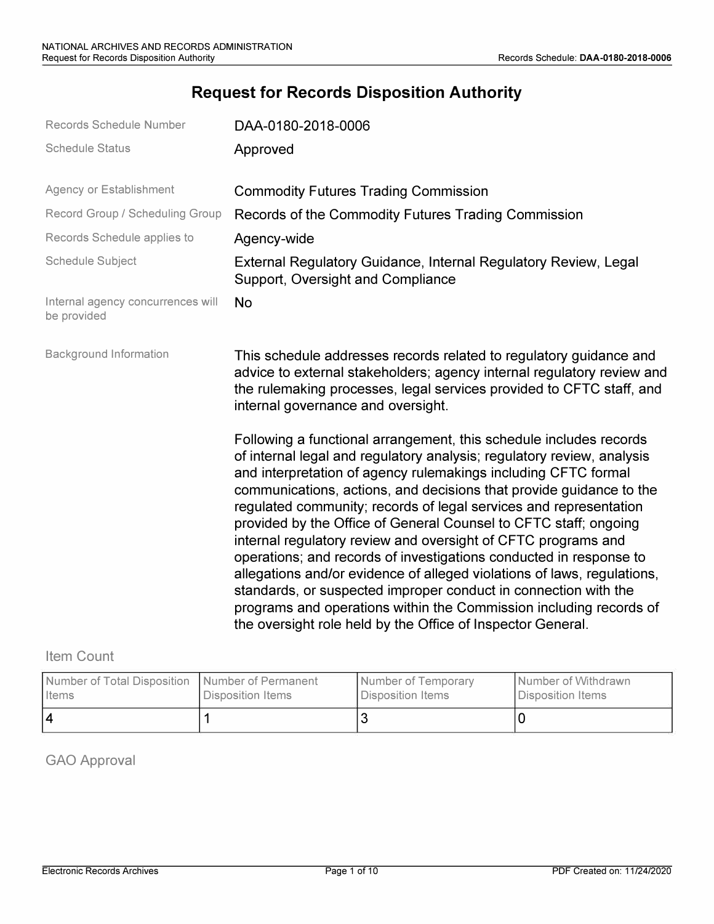# **Request for Records Disposition Authority**

| Records Schedule Number                          | DAA-0180-2018-0006                                                                                                                                                                                                                                                                                                                                                                                                                                                                                                                                                                                                                                                                                                                                                                                                                                       |
|--------------------------------------------------|----------------------------------------------------------------------------------------------------------------------------------------------------------------------------------------------------------------------------------------------------------------------------------------------------------------------------------------------------------------------------------------------------------------------------------------------------------------------------------------------------------------------------------------------------------------------------------------------------------------------------------------------------------------------------------------------------------------------------------------------------------------------------------------------------------------------------------------------------------|
| <b>Schedule Status</b>                           | Approved                                                                                                                                                                                                                                                                                                                                                                                                                                                                                                                                                                                                                                                                                                                                                                                                                                                 |
| Agency or Establishment                          | <b>Commodity Futures Trading Commission</b>                                                                                                                                                                                                                                                                                                                                                                                                                                                                                                                                                                                                                                                                                                                                                                                                              |
| Record Group / Scheduling Group                  | Records of the Commodity Futures Trading Commission                                                                                                                                                                                                                                                                                                                                                                                                                                                                                                                                                                                                                                                                                                                                                                                                      |
| Records Schedule applies to                      | Agency-wide                                                                                                                                                                                                                                                                                                                                                                                                                                                                                                                                                                                                                                                                                                                                                                                                                                              |
| <b>Schedule Subject</b>                          | External Regulatory Guidance, Internal Regulatory Review, Legal<br>Support, Oversight and Compliance                                                                                                                                                                                                                                                                                                                                                                                                                                                                                                                                                                                                                                                                                                                                                     |
| Internal agency concurrences will<br>be provided | <b>No</b>                                                                                                                                                                                                                                                                                                                                                                                                                                                                                                                                                                                                                                                                                                                                                                                                                                                |
| <b>Background Information</b>                    | This schedule addresses records related to regulatory guidance and<br>advice to external stakeholders; agency internal regulatory review and<br>the rulemaking processes, legal services provided to CFTC staff, and<br>internal governance and oversight.                                                                                                                                                                                                                                                                                                                                                                                                                                                                                                                                                                                               |
|                                                  | Following a functional arrangement, this schedule includes records<br>of internal legal and regulatory analysis; regulatory review, analysis<br>and interpretation of agency rulemakings including CFTC formal<br>communications, actions, and decisions that provide guidance to the<br>regulated community; records of legal services and representation<br>provided by the Office of General Counsel to CFTC staff; ongoing<br>internal regulatory review and oversight of CFTC programs and<br>operations; and records of investigations conducted in response to<br>allegations and/or evidence of alleged violations of laws, regulations,<br>standards, or suspected improper conduct in connection with the<br>programs and operations within the Commission including records of<br>the oversight role held by the Office of Inspector General. |

## Item Count

| Number of Total Disposition   Number of Permanent | Disposition Items | Number of Temporary | Number of Withdrawn |
|---------------------------------------------------|-------------------|---------------------|---------------------|
| I Items                                           |                   | l Disposition Items | Disposition Items   |
| 14                                                |                   |                     |                     |

GAO Approval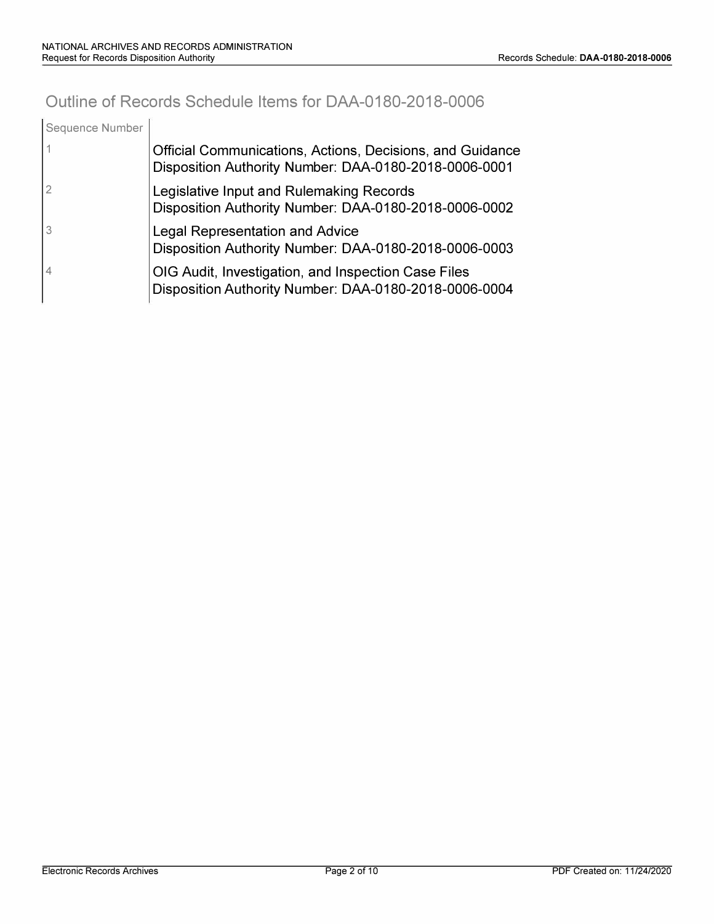# **Outline of Records Schedule Items for DAA-0180-2018-0006**

| Sequence Number |                                                                                                                    |
|-----------------|--------------------------------------------------------------------------------------------------------------------|
|                 | Official Communications, Actions, Decisions, and Guidance<br>Disposition Authority Number: DAA-0180-2018-0006-0001 |
|                 | Legislative Input and Rulemaking Records<br>Disposition Authority Number: DAA-0180-2018-0006-0002                  |
|                 | <b>Legal Representation and Advice</b><br>Disposition Authority Number: DAA-0180-2018-0006-0003                    |
|                 | OIG Audit, Investigation, and Inspection Case Files<br>Disposition Authority Number: DAA-0180-2018-0006-0004       |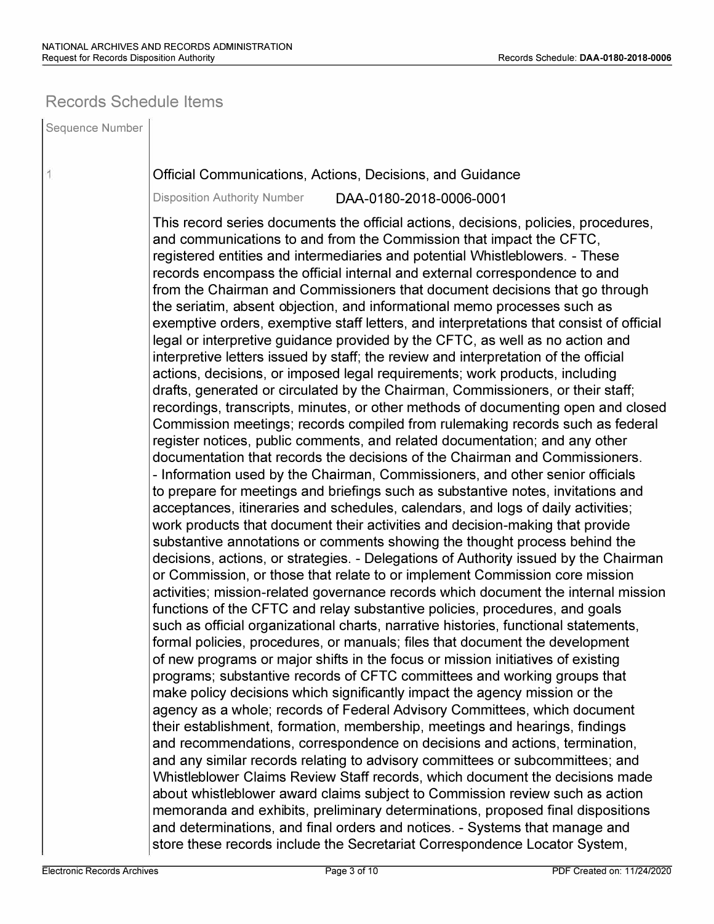## **Records Schedule Items**

Sequence Number 1 Official Communications, Actions, Decisions, and Guidance Disposition Authority Number DAA-0180-2018-0006-0001 This record series documents the official actions, decisions, policies, procedures, and communications to and from the Commission that impact the CFTC, registered entities and intermediaries and potential Whistleblowers. - These records encompass the official internal and external correspondence to and from the Chairman and Commissioners that document decisions that go through the seriatim, absent objection, and informational memo processes such as exemptive orders, exemptive staff letters, and interpretations that consist of official legal or interpretive guidance provided by the CFTC, as well as no action and interpretive letters issued by staff; the review and interpretation of the official actions, decisions, or imposed legal requirements; work products, including drafts, generated or circulated by the Chairman, Commissioners, or their staff; recordings, transcripts, minutes, or other methods of documenting open and closed Commission meetings; records compiled from rulemaking records such as federal register notices, public comments, and related documentation; and any other documentation that records the decisions of the Chairman and Commissioners. - Information used by the Chairman, Commissioners, and other senior officials to prepare for meetings and briefings such as substantive notes, invitations and acceptances, itineraries and schedules, calendars, and logs of daily activities; work products that document their activities and decision-making that provide substantive annotations or comments showing the thought process behind the decisions, actions, or strategies. - Delegations of Authority issued by the Chairman or Commission, or those that relate to or implement Commission core mission activities; mission-related governance records which document the internal mission functions of the CFTC and relay substantive policies, procedures, and goals such as official organizational charts, narrative histories, functional statements, formal policies, procedures, or manuals; files that document the development of new programs or major shifts in the focus or mission initiatives of existing programs; substantive records of CFTC committees and working groups that make policy decisions which significantly impact the agency mission or the agency as a whole; records of Federal Advisory Committees, which document their establishment, formation, membership, meetings and hearings, findings and recommendations, correspondence on decisions and actions, termination, and any similar records relating to advisory committees or subcommittees; and Whistleblower Claims Review Staff records, which document the decisions made about whistleblower award claims subject to Commission review such as action memoranda and exhibits, preliminary determinations, proposed final dispositions and determinations, and final orders and notices. - Systems that manage and store these records include the Secretariat Correspondence Locator System,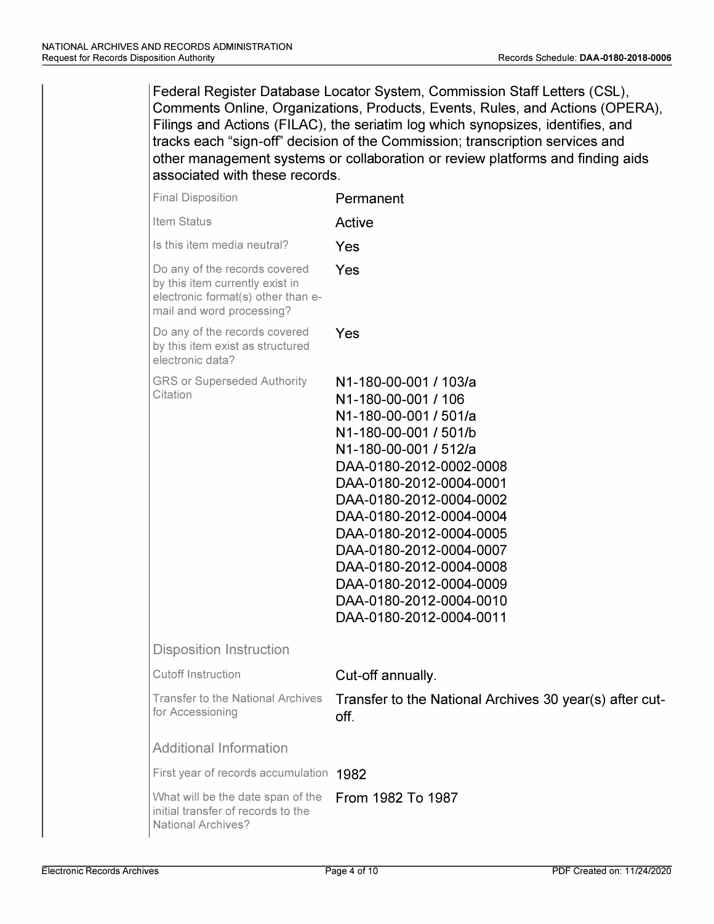Federal Register Database Locator System, Commission Staff Letters (CSL), Comments Online, Organizations, Products, Events, Rules, and Actions (OPERA), Filings and Actions (FILAC), the seriatim log which synopsizes, identifies, and tracks each "sign-off' decision of the Commission; transcription services and other management systems or collaboration or review platforms and finding aids associated with these records.

| <b>Final Disposition</b>                                                                                                            | Permanent                                                                                                                                                                                                                                                                                                                                                                                             |
|-------------------------------------------------------------------------------------------------------------------------------------|-------------------------------------------------------------------------------------------------------------------------------------------------------------------------------------------------------------------------------------------------------------------------------------------------------------------------------------------------------------------------------------------------------|
| Item Status                                                                                                                         | Active                                                                                                                                                                                                                                                                                                                                                                                                |
| Is this item media neutral?                                                                                                         | Yes                                                                                                                                                                                                                                                                                                                                                                                                   |
| Do any of the records covered<br>by this item currently exist in<br>electronic format(s) other than e-<br>mail and word processing? | Yes                                                                                                                                                                                                                                                                                                                                                                                                   |
| Do any of the records covered<br>by this item exist as structured<br>electronic data?                                               | Yes                                                                                                                                                                                                                                                                                                                                                                                                   |
| <b>GRS or Superseded Authority</b><br>Citation                                                                                      | N1-180-00-001 / 103/a<br>N1-180-00-001 / 106<br>N1-180-00-001 / 501/a<br>N1-180-00-001 / 501/b<br>N1-180-00-001 / 512/a<br>DAA-0180-2012-0002-0008<br>DAA-0180-2012-0004-0001<br>DAA-0180-2012-0004-0002<br>DAA-0180-2012-0004-0004<br>DAA-0180-2012-0004-0005<br>DAA-0180-2012-0004-0007<br>DAA-0180-2012-0004-0008<br>DAA-0180-2012-0004-0009<br>DAA-0180-2012-0004-0010<br>DAA-0180-2012-0004-0011 |
| <b>Disposition Instruction</b>                                                                                                      |                                                                                                                                                                                                                                                                                                                                                                                                       |
| <b>Cutoff Instruction</b>                                                                                                           | Cut-off annually.                                                                                                                                                                                                                                                                                                                                                                                     |
| Transfer to the National Archives<br>for Accessioning                                                                               | Transfer to the National Archives 30 year(s) after cut-<br>off.                                                                                                                                                                                                                                                                                                                                       |
| <b>Additional Information</b>                                                                                                       |                                                                                                                                                                                                                                                                                                                                                                                                       |
| First year of records accumulation 1982                                                                                             |                                                                                                                                                                                                                                                                                                                                                                                                       |
| What will be the date span of the<br>initial transfer of records to the<br><b>National Archives?</b>                                | From 1982 To 1987                                                                                                                                                                                                                                                                                                                                                                                     |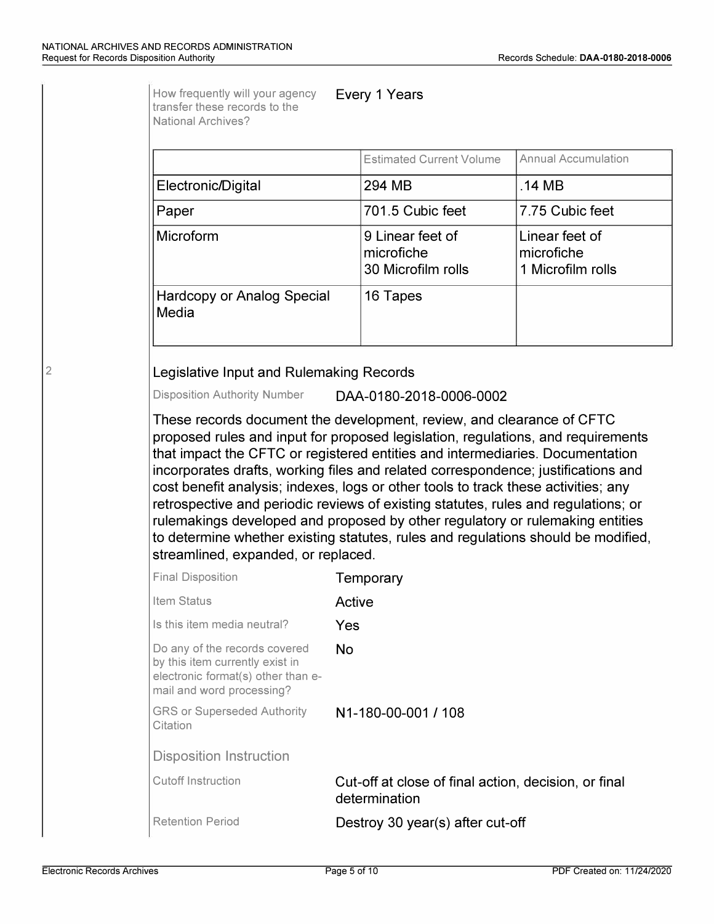|                                                                                                                                                                                                                                                                                                                                                                       | <b>Estimated Current Volume</b>                                                                                                                                                                                                                               | <b>Annual Accumulation</b>                        |
|-----------------------------------------------------------------------------------------------------------------------------------------------------------------------------------------------------------------------------------------------------------------------------------------------------------------------------------------------------------------------|---------------------------------------------------------------------------------------------------------------------------------------------------------------------------------------------------------------------------------------------------------------|---------------------------------------------------|
| Electronic/Digital                                                                                                                                                                                                                                                                                                                                                    | 294 MB                                                                                                                                                                                                                                                        | .14 MB                                            |
| Paper                                                                                                                                                                                                                                                                                                                                                                 | 701.5 Cubic feet                                                                                                                                                                                                                                              | 7.75 Cubic feet                                   |
| Microform                                                                                                                                                                                                                                                                                                                                                             | 9 Linear feet of<br>microfiche<br>30 Microfilm rolls                                                                                                                                                                                                          | Linear feet of<br>microfiche<br>1 Microfilm rolls |
| <b>Hardcopy or Analog Special</b><br>Media                                                                                                                                                                                                                                                                                                                            | 16 Tapes                                                                                                                                                                                                                                                      |                                                   |
| <b>Disposition Authority Number</b><br>that impact the CFTC or registered entities and intermediaries. Documentation                                                                                                                                                                                                                                                  | DAA-0180-2018-0006-0002<br>These records document the development, review, and clearance of CFTC<br>proposed rules and input for proposed legislation, regulations, and requirements                                                                          |                                                   |
|                                                                                                                                                                                                                                                                                                                                                                       | incorporates drafts, working files and related correspondence; justifications and<br>cost benefit analysis; indexes, logs or other tools to track these activities; any<br>retrospective and periodic reviews of existing statutes, rules and regulations; or |                                                   |
|                                                                                                                                                                                                                                                                                                                                                                       | rulemakings developed and proposed by other regulatory or rulemaking entities<br>to determine whether existing statutes, rules and regulations should be modified,                                                                                            |                                                   |
|                                                                                                                                                                                                                                                                                                                                                                       | Temporary                                                                                                                                                                                                                                                     |                                                   |
|                                                                                                                                                                                                                                                                                                                                                                       | Active                                                                                                                                                                                                                                                        |                                                   |
|                                                                                                                                                                                                                                                                                                                                                                       | Yes                                                                                                                                                                                                                                                           |                                                   |
|                                                                                                                                                                                                                                                                                                                                                                       | <b>No</b>                                                                                                                                                                                                                                                     |                                                   |
|                                                                                                                                                                                                                                                                                                                                                                       | N1-180-00-001 / 108                                                                                                                                                                                                                                           |                                                   |
|                                                                                                                                                                                                                                                                                                                                                                       |                                                                                                                                                                                                                                                               |                                                   |
| streamlined, expanded, or replaced.<br><b>Final Disposition</b><br>Item Status<br>Is this item media neutral?<br>Do any of the records covered<br>by this item currently exist in<br>electronic format(s) other than e-<br>mail and word processing?<br><b>GRS or Superseded Authority</b><br>Citation<br><b>Disposition Instruction</b><br><b>Cutoff Instruction</b> | Cut-off at close of final action, decision, or final<br>determination                                                                                                                                                                                         |                                                   |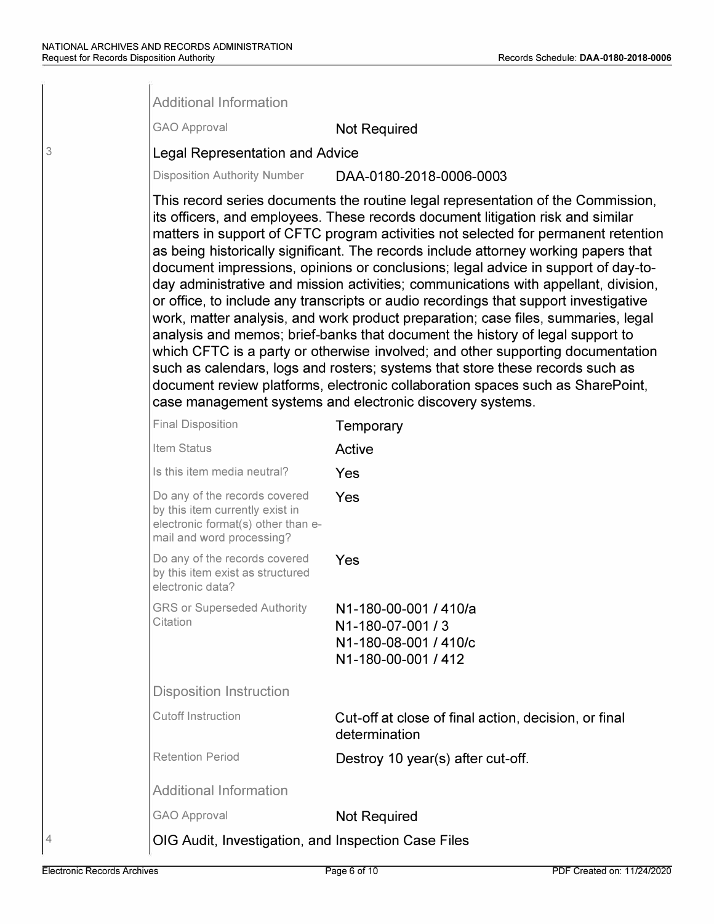|   | <b>Additional Information</b>                                                                                                       |                                                                                                                                                                                                                                                                                                                                                                                                                                                                                                                                                                                                                                                                                                                                                                                                                                                                                                                                                                                                                                                                                                               |
|---|-------------------------------------------------------------------------------------------------------------------------------------|---------------------------------------------------------------------------------------------------------------------------------------------------------------------------------------------------------------------------------------------------------------------------------------------------------------------------------------------------------------------------------------------------------------------------------------------------------------------------------------------------------------------------------------------------------------------------------------------------------------------------------------------------------------------------------------------------------------------------------------------------------------------------------------------------------------------------------------------------------------------------------------------------------------------------------------------------------------------------------------------------------------------------------------------------------------------------------------------------------------|
|   | <b>GAO Approval</b>                                                                                                                 | <b>Not Required</b>                                                                                                                                                                                                                                                                                                                                                                                                                                                                                                                                                                                                                                                                                                                                                                                                                                                                                                                                                                                                                                                                                           |
| 3 | <b>Legal Representation and Advice</b>                                                                                              |                                                                                                                                                                                                                                                                                                                                                                                                                                                                                                                                                                                                                                                                                                                                                                                                                                                                                                                                                                                                                                                                                                               |
|   | <b>Disposition Authority Number</b>                                                                                                 | DAA-0180-2018-0006-0003                                                                                                                                                                                                                                                                                                                                                                                                                                                                                                                                                                                                                                                                                                                                                                                                                                                                                                                                                                                                                                                                                       |
|   |                                                                                                                                     | This record series documents the routine legal representation of the Commission,<br>its officers, and employees. These records document litigation risk and similar<br>matters in support of CFTC program activities not selected for permanent retention<br>as being historically significant. The records include attorney working papers that<br>document impressions, opinions or conclusions; legal advice in support of day-to-<br>day administrative and mission activities; communications with appellant, division,<br>or office, to include any transcripts or audio recordings that support investigative<br>work, matter analysis, and work product preparation; case files, summaries, legal<br>analysis and memos; brief-banks that document the history of legal support to<br>which CFTC is a party or otherwise involved; and other supporting documentation<br>such as calendars, logs and rosters; systems that store these records such as<br>document review platforms, electronic collaboration spaces such as SharePoint,<br>case management systems and electronic discovery systems. |
|   | <b>Final Disposition</b>                                                                                                            | Temporary                                                                                                                                                                                                                                                                                                                                                                                                                                                                                                                                                                                                                                                                                                                                                                                                                                                                                                                                                                                                                                                                                                     |
|   | Item Status                                                                                                                         | Active                                                                                                                                                                                                                                                                                                                                                                                                                                                                                                                                                                                                                                                                                                                                                                                                                                                                                                                                                                                                                                                                                                        |
|   | Is this item media neutral?                                                                                                         | Yes                                                                                                                                                                                                                                                                                                                                                                                                                                                                                                                                                                                                                                                                                                                                                                                                                                                                                                                                                                                                                                                                                                           |
|   | Do any of the records covered<br>by this item currently exist in<br>electronic format(s) other than e-<br>mail and word processing? | Yes                                                                                                                                                                                                                                                                                                                                                                                                                                                                                                                                                                                                                                                                                                                                                                                                                                                                                                                                                                                                                                                                                                           |
|   | Do any of the records covered<br>by this item exist as structured<br>electronic data?                                               | Yes                                                                                                                                                                                                                                                                                                                                                                                                                                                                                                                                                                                                                                                                                                                                                                                                                                                                                                                                                                                                                                                                                                           |
|   | <b>GRS or Superseded Authority</b><br>Citation                                                                                      | N1-180-00-001 / 410/a<br>N1-180-07-001/3<br>N1-180-08-001 / 410/c<br>N1-180-00-001 / 412                                                                                                                                                                                                                                                                                                                                                                                                                                                                                                                                                                                                                                                                                                                                                                                                                                                                                                                                                                                                                      |
|   | <b>Disposition Instruction</b>                                                                                                      |                                                                                                                                                                                                                                                                                                                                                                                                                                                                                                                                                                                                                                                                                                                                                                                                                                                                                                                                                                                                                                                                                                               |
|   | <b>Cutoff Instruction</b>                                                                                                           | Cut-off at close of final action, decision, or final<br>determination                                                                                                                                                                                                                                                                                                                                                                                                                                                                                                                                                                                                                                                                                                                                                                                                                                                                                                                                                                                                                                         |
|   | <b>Retention Period</b>                                                                                                             | Destroy 10 year(s) after cut-off.                                                                                                                                                                                                                                                                                                                                                                                                                                                                                                                                                                                                                                                                                                                                                                                                                                                                                                                                                                                                                                                                             |
|   | <b>Additional Information</b>                                                                                                       |                                                                                                                                                                                                                                                                                                                                                                                                                                                                                                                                                                                                                                                                                                                                                                                                                                                                                                                                                                                                                                                                                                               |
|   | <b>GAO Approval</b>                                                                                                                 | <b>Not Required</b>                                                                                                                                                                                                                                                                                                                                                                                                                                                                                                                                                                                                                                                                                                                                                                                                                                                                                                                                                                                                                                                                                           |
|   | OIG Audit, Investigation, and Inspection Case Files                                                                                 |                                                                                                                                                                                                                                                                                                                                                                                                                                                                                                                                                                                                                                                                                                                                                                                                                                                                                                                                                                                                                                                                                                               |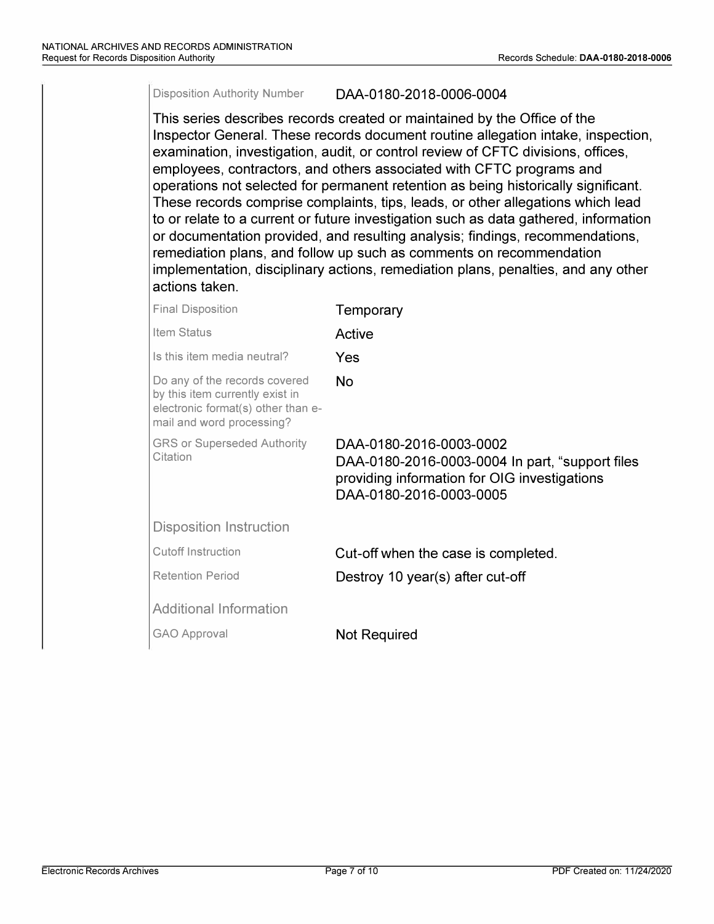### Disposition Authority Number DAA-0180-2018-0006-0004

This series describes records created or maintained by the Office of the Inspector General. These records document routine allegation intake, inspection, examination, investigation, audit, or control review of CFTC divisions, offices, employees, contractors, and others associated with CFTC programs and operations not selected for permanent retention as being historically significant. These records comprise complaints, tips, leads, or other allegations which lead to or relate to a current or future investigation such as data gathered, information or documentation provided, and resulting analysis; findings, recommendations, remediation plans, and follow up such as comments on recommendation implementation, disciplinary actions, remediation plans, penalties, and any other actions taken.

| <b>Final Disposition</b>                                                                                                            | Temporary                                                                                                                                             |
|-------------------------------------------------------------------------------------------------------------------------------------|-------------------------------------------------------------------------------------------------------------------------------------------------------|
| Item Status                                                                                                                         | Active                                                                                                                                                |
| Is this item media neutral?                                                                                                         | Yes                                                                                                                                                   |
| Do any of the records covered<br>by this item currently exist in<br>electronic format(s) other than e-<br>mail and word processing? | No.                                                                                                                                                   |
| <b>GRS or Superseded Authority</b><br>Citation                                                                                      | DAA-0180-2016-0003-0002<br>DAA-0180-2016-0003-0004 In part, "support files<br>providing information for OIG investigations<br>DAA-0180-2016-0003-0005 |
| <b>Disposition Instruction</b>                                                                                                      |                                                                                                                                                       |
| Cutoff Instruction                                                                                                                  | Cut-off when the case is completed.                                                                                                                   |
| <b>Retention Period</b>                                                                                                             | Destroy 10 year(s) after cut-off                                                                                                                      |
| <b>Additional Information</b>                                                                                                       |                                                                                                                                                       |
| <b>GAO Approval</b>                                                                                                                 | <b>Not Required</b>                                                                                                                                   |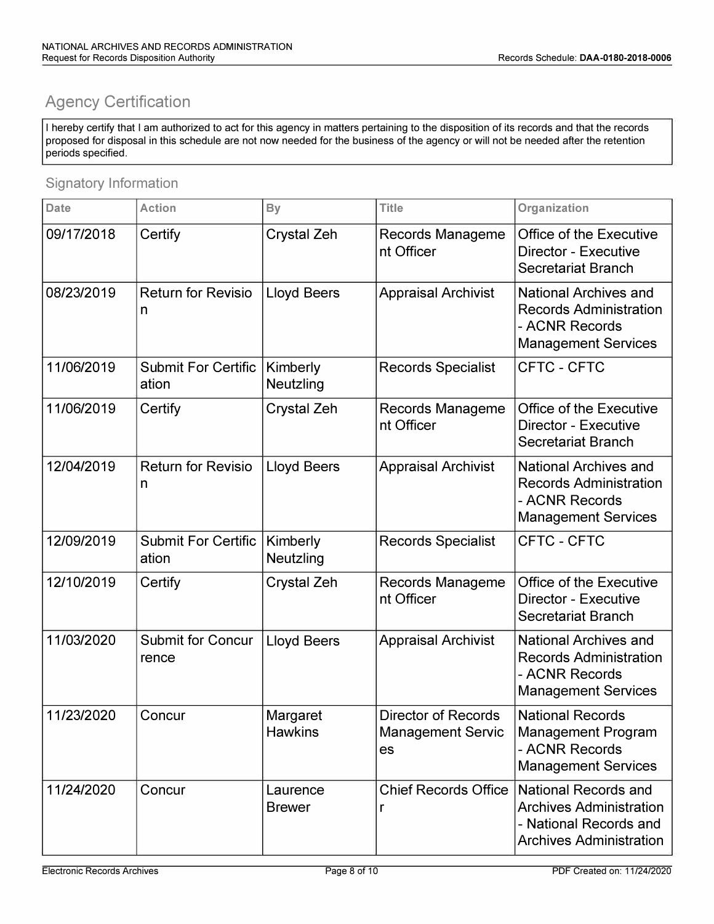# **Agency Certification**

I hereby certify that I am authorized to act for this agency in matters pertaining to the disposition of its records and that the records proposed for disposal in this schedule are not now needed for the business of the agency or will not be needed after the retention periods specified.

## Signatory Information

| <b>Date</b> | <b>Action</b>                       | <b>By</b>                  | <b>Title</b>                                                 | Organization                                                                                                              |
|-------------|-------------------------------------|----------------------------|--------------------------------------------------------------|---------------------------------------------------------------------------------------------------------------------------|
| 09/17/2018  | Certify                             | <b>Crystal Zeh</b>         | Records Manageme<br>nt Officer                               | <b>Office of the Executive</b><br>Director - Executive<br><b>Secretariat Branch</b>                                       |
| 08/23/2019  | <b>Return for Revisio</b><br>n      | <b>Lloyd Beers</b>         | <b>Appraisal Archivist</b>                                   | <b>National Archives and</b><br><b>Records Administration</b><br>- ACNR Records<br><b>Management Services</b>             |
| 11/06/2019  | <b>Submit For Certific</b><br>ation | Kimberly<br>Neutzling      | <b>Records Specialist</b>                                    | CFTC - CFTC                                                                                                               |
| 11/06/2019  | Certify                             | <b>Crystal Zeh</b>         | <b>Records Manageme</b><br>nt Officer                        | <b>Office of the Executive</b><br><b>Director - Executive</b><br><b>Secretariat Branch</b>                                |
| 12/04/2019  | <b>Return for Revisio</b><br>n      | <b>Lloyd Beers</b>         | <b>Appraisal Archivist</b>                                   | <b>National Archives and</b><br><b>Records Administration</b><br>- ACNR Records<br><b>Management Services</b>             |
| 12/09/2019  | <b>Submit For Certific</b><br>ation | Kimberly<br>Neutzling      | <b>Records Specialist</b>                                    | CFTC - CFTC                                                                                                               |
| 12/10/2019  | Certify                             | <b>Crystal Zeh</b>         | <b>Records Manageme</b><br>nt Officer                        | <b>Office of the Executive</b><br><b>Director - Executive</b><br><b>Secretariat Branch</b>                                |
| 11/03/2020  | <b>Submit for Concur</b><br>rence   | <b>Lloyd Beers</b>         | <b>Appraisal Archivist</b>                                   | <b>National Archives and</b><br><b>Records Administration</b><br>- ACNR Records<br><b>Management Services</b>             |
| 11/23/2020  | Concur                              | Margaret<br><b>Hawkins</b> | <b>Director of Records</b><br><b>Management Servic</b><br>es | <b>National Records</b><br><b>Management Program</b><br>- ACNR Records<br><b>Management Services</b>                      |
| 11/24/2020  | Concur                              | Laurence<br><b>Brewer</b>  | <b>Chief Records Office</b><br>r                             | <b>National Records and</b><br><b>Archives Administration</b><br>- National Records and<br><b>Archives Administration</b> |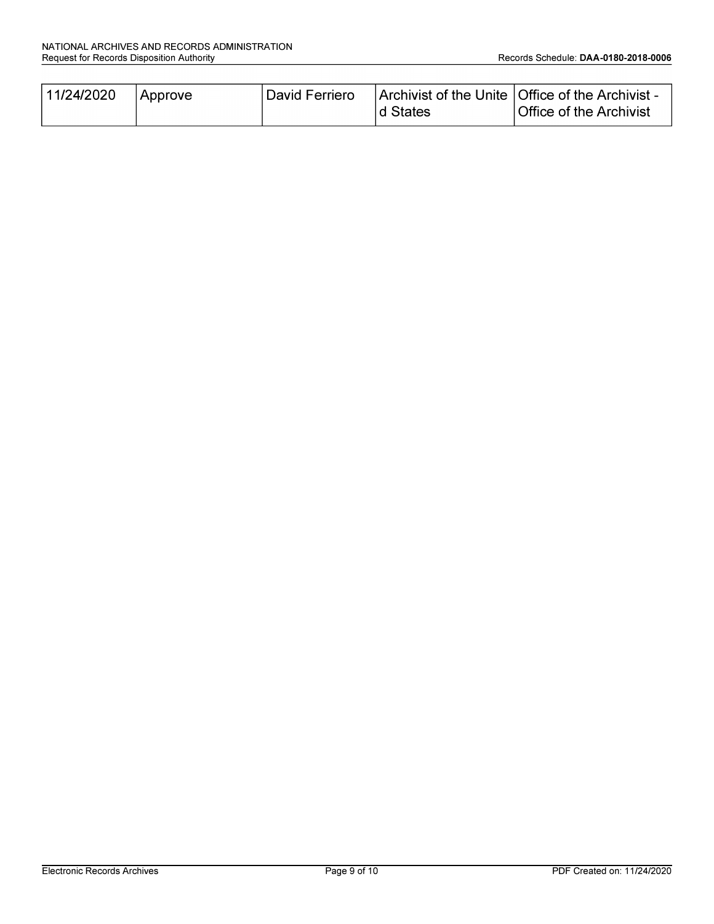| 11/24/2020 | Approve | David Ferriero |           | Archivist of the Unite   Office of the Archivist - |
|------------|---------|----------------|-----------|----------------------------------------------------|
|            |         |                | Id States | Office of the Archivist                            |